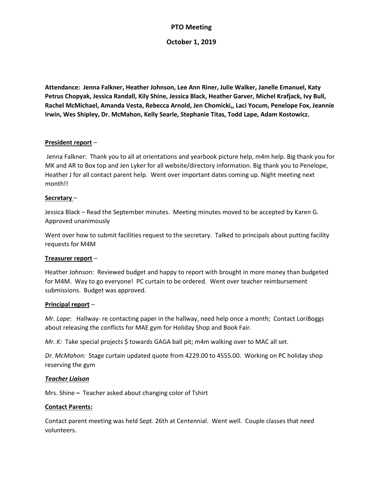# **PTO Meeting**

## **October 1, 2019**

**Attendance: Jenna Falkner, Heather Johnson, Lee Ann Riner, Julie Walker, Janelle Emanuel, Katy Petrus Chopyak, Jessica Randall, Kily Shine, Jessica Black, Heather Garver, Michel Krafjack, Ivy Bull, Rachel McMichael, Amanda Vesta, Rebecca Arnold, Jen Chomicki,, Laci Yocum, Penelope Fox, Jeannie Irwin, Wes Shipley, Dr. McMahon, Kelly Searle, Stephanie Titas, Todd Lape, Adam Kostowicz.**

# **President report** –

Jenna Falkner: Thank you to all at orientations and yearbook picture help, m4m help. Big thank you for MK and AR to Box top and Jen Lyker for all website/directory information. Big thank you to Penelope, Heather J for all contact parent help. Went over important dates coming up. Night meeting next month!!

## **Secretary** –

Jessica Black – Read the September minutes. Meeting minutes moved to be accepted by Karen G. Approved unanimously

Went over how to submit facilities request to the secretary. Talked to principals about putting facility requests for M4M

## **Treasurer report** –

Heather Johnson: Reviewed budget and happy to report with brought in more money than budgeted for M4M. Way to go everyone! PC curtain to be ordered. Went over teacher reimbursement submissions. Budget was approved.

## **Principal report** –

*Mr. Lape*: Hallway- re contacting paper in the hallway, need help once a month; Contact LoriBoggs about releasing the conflicts for MAE gym for Holiday Shop and Book Fair.

*Mr. K:* Take special projects \$ towards GAGA ball pit; m4m walking over to MAC all set.

*Dr. McMahon:* Stage curtain updated quote from 4229.00 to 4555.00. Working on PC holiday shop reserving the gym

## *Teacher Liaison*

Mrs. Shine **–** Teacher asked about changing color of Tshirt

## **Contact Parents:**

Contact parent meeting was held Sept. 26th at Centennial. Went well. Couple classes that need volunteers.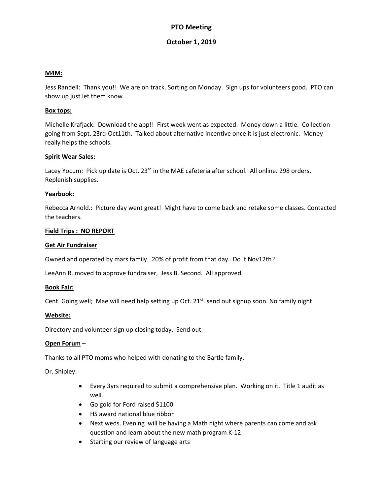# **PTO Meeting**

# **October 1, 2019**

#### **M4M:**

Jess Randell: Thank you!! We are on track. Sorting on Monday. Sign ups for volunteers good. PTO can show up just let them know

#### **Box tops:**

Michelle Krafjack: Download the app!! First week went as expected. Money down a little. Collection going from Sept. 23rd-Oct11th. Talked about alternative incentive once it is just electronic. Money really helps the schools.

#### **Spirit Wear Sales:**

Lacey Yocum: Pick up date is Oct. 23<sup>rd</sup> in the MAE cafeteria after school. All online. 298 orders. Replenish supplies.

#### **Yearbook:**

Rebecca Arnold.: Picture day went great! Might have to come back and retake some classes. Contacted the teachers.

#### **Field Trips : NO REPORT**

#### **Get Air Fundraiser**

Owned and operated by mars family. 20% of profit from that day. Do it Nov12th?

LeeAnn R. moved to approve fundraiser, Jess B. Second. All approved.

#### **Book Fair:**

Cent. Going well; Mae will need help setting up Oct. 21<sup>st</sup>. send out signup soon. No family night

#### **Website:**

Directory and volunteer sign up closing today. Send out.

## **Open Forum** –

Thanks to all PTO moms who helped with donating to the Bartle family.

Dr. Shipley:

- Every 3yrs required to submit a comprehensive plan. Working on it. Title 1 audit as well.
- Go gold for Ford raised \$1100
- HS award national blue ribbon
- Next weds. Evening will be having a Math night where parents can come and ask question and learn about the new math program K-12
- Starting our review of language arts